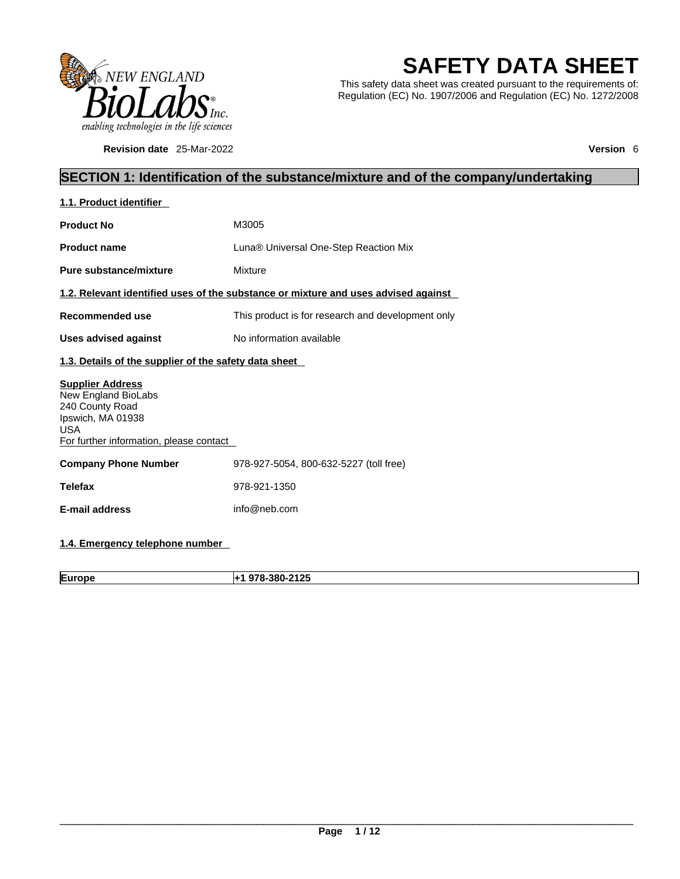

**Revision date** 25-Mar-2022 **Version** 6

# **SAFETY DATA SHEET**

This safety data sheet was created pursuant to the requirements of: Regulation (EC) No. 1907/2006 and Regulation (EC) No. 1272/2008

# **SECTION 1: Identification of the substance/mixture and of the company/undertaking**

| 1.1. Product identifier                                                                                                                         |                                                                                    |
|-------------------------------------------------------------------------------------------------------------------------------------------------|------------------------------------------------------------------------------------|
| <b>Product No</b>                                                                                                                               | M3005                                                                              |
| <b>Product name</b>                                                                                                                             | Luna <sup>®</sup> Universal One-Step Reaction Mix                                  |
| <b>Pure substance/mixture</b>                                                                                                                   | Mixture                                                                            |
|                                                                                                                                                 | 1.2. Relevant identified uses of the substance or mixture and uses advised against |
| <b>Recommended use</b>                                                                                                                          | This product is for research and development only                                  |
| <b>Uses advised against</b>                                                                                                                     | No information available                                                           |
| 1.3. Details of the supplier of the safety data sheet                                                                                           |                                                                                    |
| <b>Supplier Address</b><br>New England BioLabs<br>240 County Road<br>Ipswich, MA 01938<br><b>USA</b><br>For further information, please contact |                                                                                    |
| <b>Company Phone Number</b>                                                                                                                     | 978-927-5054, 800-632-5227 (toll free)                                             |
| <b>Telefax</b>                                                                                                                                  | 978-921-1350                                                                       |
| <b>E-mail address</b>                                                                                                                           | info@neb.com                                                                       |
|                                                                                                                                                 |                                                                                    |

## **1.4. Emergency telephone number**

**Europe +1 978-380-2125**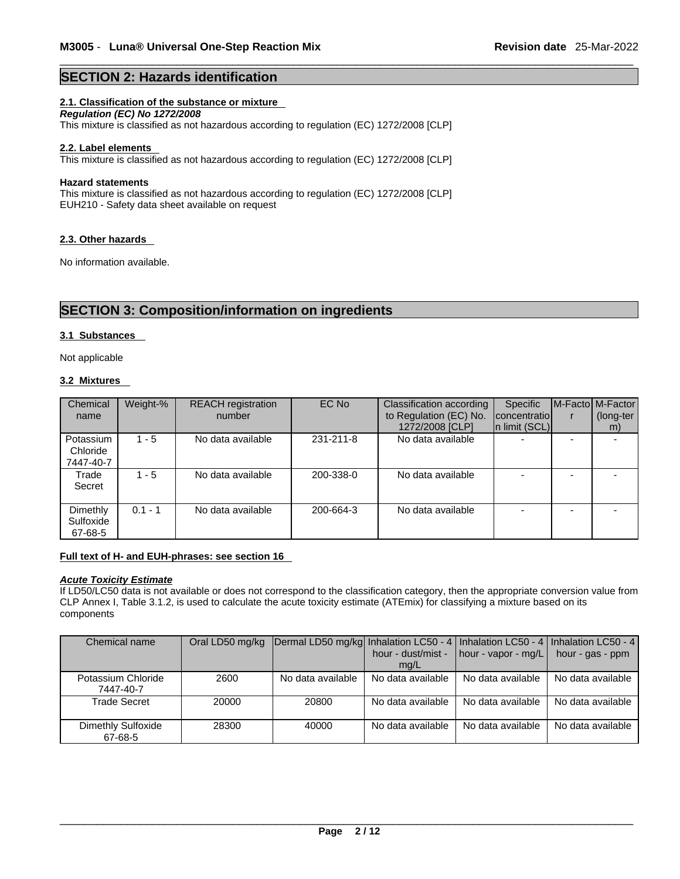## **SECTION 2: Hazards identification**

## **2.1. Classification of the substance or mixture**

*Regulation (EC) No 1272/2008*  This mixture is classified as not hazardous according to regulation (EC) 1272/2008 [CLP]

#### **2.2. Label elements**

This mixture is classified as not hazardous according to regulation (EC) 1272/2008 [CLP]

#### **Hazard statements**

This mixture is classified as not hazardous according to regulation (EC) 1272/2008 [CLP] EUH210 - Safety data sheet available on request

#### **2.3. Other hazards**

No information available.

## **SECTION 3: Composition/information on ingredients**

## **3.1 Substances**

Not applicable

#### **3.2 Mixtures**

| Chemical  | Weight-%  | <b>REACH</b> registration | EC No     | Classification according | <b>Specific</b>   | M-Facto M-Factor |
|-----------|-----------|---------------------------|-----------|--------------------------|-------------------|------------------|
| name      |           | number                    |           | to Regulation (EC) No.   | concentratio      | (long-ter        |
|           |           |                           |           | 1272/2008 [CLP]          | $\ln$ limit (SCL) | m)               |
| Potassium | $1 - 5$   | No data available         | 231-211-8 | No data available        |                   |                  |
| Chloride  |           |                           |           |                          |                   |                  |
| 7447-40-7 |           |                           |           |                          |                   |                  |
| Trade     | $1 - 5$   | No data available         | 200-338-0 | No data available        |                   |                  |
| Secret    |           |                           |           |                          |                   |                  |
|           |           |                           |           |                          |                   |                  |
| Dimethly  | $0.1 - 1$ | No data available         | 200-664-3 | No data available        |                   |                  |
| Sulfoxide |           |                           |           |                          |                   |                  |
| 67-68-5   |           |                           |           |                          |                   |                  |

#### **Full text of H- and EUH-phrases: see section 16**

## *Acute Toxicity Estimate*

If LD50/LC50 data is not available or does not correspond to the classification category, then the appropriate conversion value from CLP Annex I, Table 3.1.2, is used to calculate the acute toxicity estimate (ATEmix) for classifying a mixture based on its components

| Chemical name                   |       | Oral LD50 mg/kg Dermal LD50 mg/kg Inhalation LC50 - 4   Inhalation LC50 - 4   Inhalation LC50 - 4 |                    |                                     |                   |
|---------------------------------|-------|---------------------------------------------------------------------------------------------------|--------------------|-------------------------------------|-------------------|
|                                 |       |                                                                                                   | hour - dust/mist - | $\vert$ hour - vapor - mg/L $\vert$ | hour - gas - ppm  |
|                                 |       |                                                                                                   | mq/L               |                                     |                   |
| Potassium Chloride<br>7447-40-7 | 2600  | No data available                                                                                 | No data available  | No data available                   | No data available |
| Trade Secret                    | 20000 | 20800                                                                                             | No data available  | No data available                   | No data available |
|                                 |       |                                                                                                   |                    |                                     |                   |
| Dimethly Sulfoxide<br>67-68-5   | 28300 | 40000                                                                                             | No data available  | No data available                   | No data available |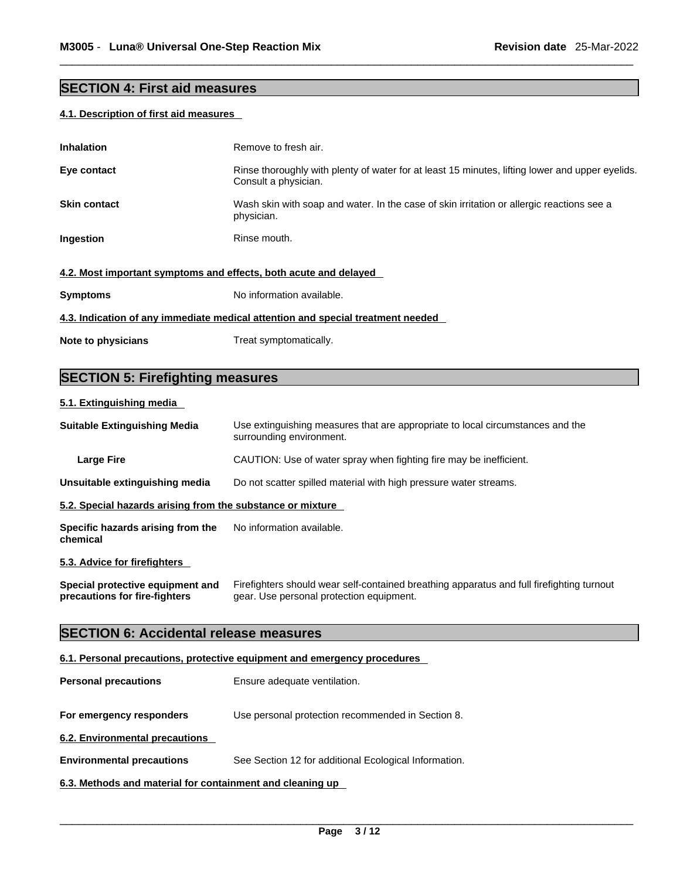# **SECTION 4: First aid measures**

## **4.1. Description of first aid measures**

| <b>Inhalation</b>                                                | Remove to fresh air.                                                                                                    |
|------------------------------------------------------------------|-------------------------------------------------------------------------------------------------------------------------|
| Eye contact                                                      | Rinse thoroughly with plenty of water for at least 15 minutes, lifting lower and upper eyelids.<br>Consult a physician. |
| <b>Skin contact</b>                                              | Wash skin with soap and water. In the case of skin irritation or allergic reactions see a<br>physician.                 |
| Ingestion                                                        | Rinse mouth.                                                                                                            |
| 4.2. Most important symptoms and effects, both acute and delayed |                                                                                                                         |
| <b>Symptoms</b>                                                  | No information available.                                                                                               |
|                                                                  | 4.3. Indication of any immediate medical attention and special treatment needed                                         |
| Note to physicians                                               | Treat symptomatically.                                                                                                  |
|                                                                  |                                                                                                                         |

# **SECTION 5: Firefighting measures**

## **5.1. Extinguishing media**

| <b>Suitable Extinguishing Media</b>                               | Use extinguishing measures that are appropriate to local circumstances and the<br>surrounding environment.                            |
|-------------------------------------------------------------------|---------------------------------------------------------------------------------------------------------------------------------------|
| Large Fire                                                        | CAUTION: Use of water spray when fighting fire may be inefficient.                                                                    |
| Unsuitable extinguishing media                                    | Do not scatter spilled material with high pressure water streams.                                                                     |
| 5.2. Special hazards arising from the substance or mixture        |                                                                                                                                       |
| Specific hazards arising from the<br>chemical                     | No information available.                                                                                                             |
| 5.3. Advice for firefighters                                      |                                                                                                                                       |
| Special protective equipment and<br>precautions for fire-fighters | Firefighters should wear self-contained breathing apparatus and full firefighting turnout<br>gear. Use personal protection equipment. |
| <b>SECTION 6: Accidental release measures</b>                     |                                                                                                                                       |
|                                                                   | 6.1. Personal precautions, protective equipment and emergency procedures                                                              |

| <b>Personal precautions</b>                               | Ensure adequate ventilation.                          |
|-----------------------------------------------------------|-------------------------------------------------------|
| For emergency responders                                  | Use personal protection recommended in Section 8.     |
| 6.2. Environmental precautions                            |                                                       |
| <b>Environmental precautions</b>                          | See Section 12 for additional Ecological Information. |
| 6.3. Methods and material for containment and cleaning up |                                                       |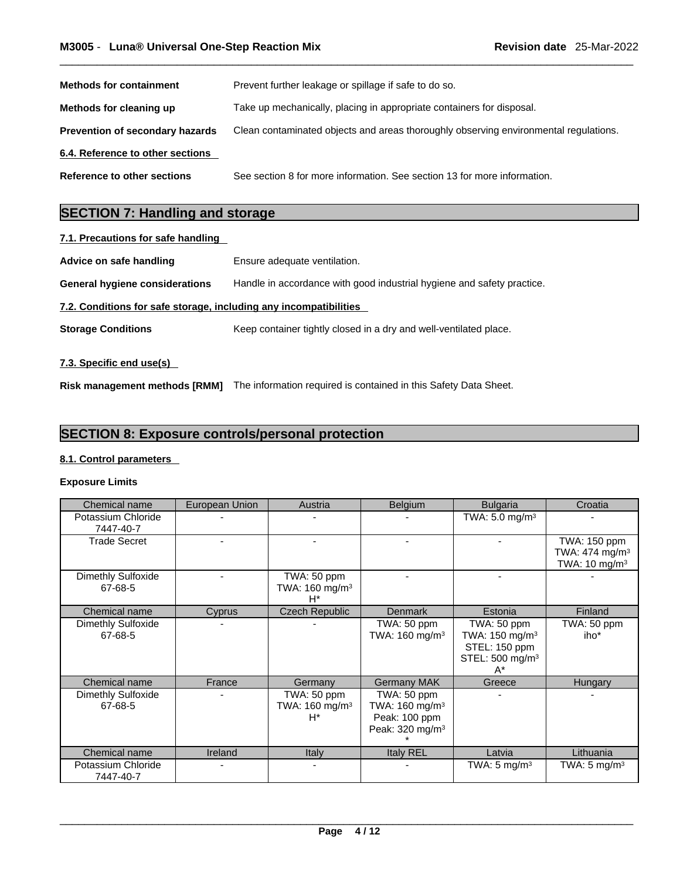| <b>Methods for containment</b>   | Prevent further leakage or spillage if safe to do so.                                |
|----------------------------------|--------------------------------------------------------------------------------------|
| Methods for cleaning up          | Take up mechanically, placing in appropriate containers for disposal.                |
| Prevention of secondary hazards  | Clean contaminated objects and areas thoroughly observing environmental regulations. |
| 6.4. Reference to other sections |                                                                                      |
| Reference to other sections      | See section 8 for more information. See section 13 for more information.             |

# **SECTION 7: Handling and storage**

# **7.1. Precautions for safe handling**

| Advice on safe handling                                           | Ensure adequate ventilation.                                           |
|-------------------------------------------------------------------|------------------------------------------------------------------------|
| General hygiene considerations                                    | Handle in accordance with good industrial hygiene and safety practice. |
| 7.2. Conditions for safe storage, including any incompatibilities |                                                                        |
| <b>Storage Conditions</b>                                         | Keep container tightly closed in a dry and well-ventilated place.      |
| 7.3. Specific end use(s)                                          |                                                                        |

**Risk management methods [RMM]** The information required is contained in this Safety Data Sheet.

## **SECTION 8: Exposure controls/personal protection**

### **8.1. Control parameters**

## **Exposure Limits**

| Chemical name                   | European Union | Austria                                            | Belgium                                                                                   | <b>Bulgaria</b>                                                                                | Croatia                                                                   |
|---------------------------------|----------------|----------------------------------------------------|-------------------------------------------------------------------------------------------|------------------------------------------------------------------------------------------------|---------------------------------------------------------------------------|
| Potassium Chloride<br>7447-40-7 |                |                                                    |                                                                                           | TWA: $5.0$ mg/m <sup>3</sup>                                                                   |                                                                           |
| <b>Trade Secret</b>             |                |                                                    |                                                                                           |                                                                                                | TWA: 150 ppm<br>TWA: $474$ mg/m <sup>3</sup><br>TWA: 10 mg/m <sup>3</sup> |
| Dimethly Sulfoxide<br>67-68-5   |                | TWA: 50 ppm<br>TWA: 160 mg/m <sup>3</sup><br>H*    |                                                                                           |                                                                                                |                                                                           |
| Chemical name                   | Cyprus         | <b>Czech Republic</b>                              | <b>Denmark</b>                                                                            | Estonia                                                                                        | Finland                                                                   |
| Dimethly Sulfoxide<br>67-68-5   |                |                                                    | TWA: 50 ppm<br>TWA: $160 \text{ mg/m}^3$                                                  | TWA: 50 ppm<br>TWA: $150 \text{ mg/m}^3$<br>STEL: 150 ppm<br>STEL: 500 mg/m <sup>3</sup><br>A* | TWA: 50 ppm<br>iho*                                                       |
| Chemical name                   | France         | Germany                                            | <b>Germany MAK</b>                                                                        | Greece                                                                                         | Hungary                                                                   |
| Dimethly Sulfoxide<br>67-68-5   |                | TWA: 50 ppm<br>TWA: 160 mg/m <sup>3</sup><br>$H^*$ | TWA: 50 ppm<br>TWA: 160 mg/m <sup>3</sup><br>Peak: 100 ppm<br>Peak: 320 mg/m <sup>3</sup> |                                                                                                |                                                                           |
| Chemical name                   | Ireland        | <b>Italy</b>                                       | Italy REL                                                                                 | Latvia                                                                                         | Lithuania                                                                 |
| Potassium Chloride<br>7447-40-7 |                | $\overline{\phantom{0}}$                           |                                                                                           | TWA: 5 mg/m <sup>3</sup>                                                                       | TWA: 5 mg/m $3$                                                           |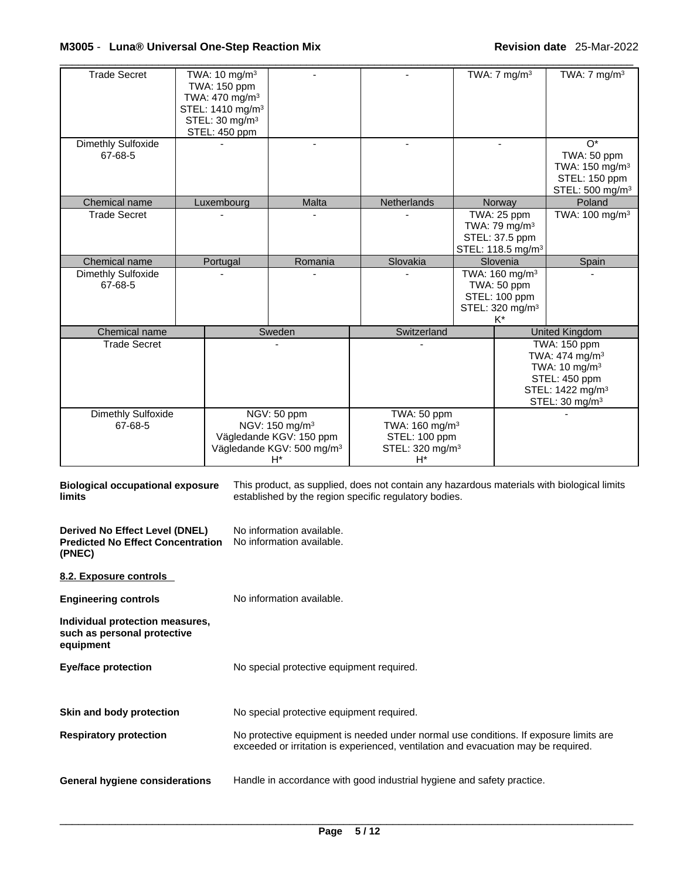## \_\_\_\_\_\_\_\_\_\_\_\_\_\_\_\_\_\_\_\_\_\_\_\_\_\_\_\_\_\_\_\_\_\_\_\_\_\_\_\_\_\_\_\_\_\_\_\_\_\_\_\_\_\_\_\_\_\_\_\_\_\_\_\_\_\_\_\_\_\_\_\_\_\_\_\_\_\_\_\_\_\_\_\_\_\_\_\_\_\_\_\_\_ **M3005** - **Luna® Universal One-Step Reaction Mix Revision date** 25-Mar-2022

| <b>Trade Secret</b>           | TWA: $10 \text{ mg/m}^3$<br>TWA: 150 ppm<br>TWA: 470 mg/m <sup>3</sup>      |                                                                                                                                     |                                                                                                 | TWA: $7 \text{ mg/m}^3$                                                                            | TWA: $7 \text{ mg/m}^3$                                                                                                                                        |
|-------------------------------|-----------------------------------------------------------------------------|-------------------------------------------------------------------------------------------------------------------------------------|-------------------------------------------------------------------------------------------------|----------------------------------------------------------------------------------------------------|----------------------------------------------------------------------------------------------------------------------------------------------------------------|
|                               | STEL: 1410 mg/m <sup>3</sup><br>STEL: 30 mg/m <sup>3</sup><br>STEL: 450 ppm |                                                                                                                                     |                                                                                                 |                                                                                                    |                                                                                                                                                                |
| Dimethly Sulfoxide<br>67-68-5 |                                                                             | $\blacksquare$                                                                                                                      |                                                                                                 | $\blacksquare$                                                                                     | $O^*$<br>TWA: 50 ppm<br>TWA: 150 mg/m <sup>3</sup><br>STEL: 150 ppm<br>STEL: 500 mg/m <sup>3</sup>                                                             |
| Chemical name                 | Luxembourg                                                                  | Malta                                                                                                                               | Netherlands                                                                                     | Norway                                                                                             | Poland                                                                                                                                                         |
| <b>Trade Secret</b>           |                                                                             |                                                                                                                                     |                                                                                                 | TWA: 25 ppm<br>TWA: 79 mg/m $3$<br>STEL: 37.5 ppm<br>STEL: 118.5 mg/m <sup>3</sup>                 | TWA: $100$ mg/m <sup>3</sup>                                                                                                                                   |
| Chemical name                 | Portugal                                                                    | Romania                                                                                                                             | Slovakia                                                                                        | Slovenia                                                                                           | Spain                                                                                                                                                          |
| Dimethly Sulfoxide<br>67-68-5 |                                                                             |                                                                                                                                     |                                                                                                 | TWA: 160 mg/m <sup>3</sup><br>TWA: 50 ppm<br>STEL: 100 ppm<br>STEL: 320 mg/m <sup>3</sup><br>$K^*$ |                                                                                                                                                                |
| Chemical name                 |                                                                             | Sweden                                                                                                                              | Switzerland                                                                                     |                                                                                                    | <b>United Kingdom</b>                                                                                                                                          |
| <b>Trade Secret</b>           |                                                                             |                                                                                                                                     |                                                                                                 |                                                                                                    | <b>TWA: 150 ppm</b><br>TWA: $474$ mg/m <sup>3</sup><br>TWA: $10 \text{ mg/m}^3$<br>STEL: 450 ppm<br>STEL: 1422 mg/m <sup>3</sup><br>STEL: 30 mg/m <sup>3</sup> |
| Dimethly Sulfoxide<br>67-68-5 |                                                                             | NGV: 50 ppm<br>NGV: 150 mg/m <sup>3</sup><br>Vägledande KGV: 150 ppm<br>Vägledande KGV: 500 mg/m <sup>3</sup><br>$\mathsf{H}^\star$ | TWA: 50 ppm<br>TWA: 160 mg/m <sup>3</sup><br>STEL: 100 ppm<br>STEL: 320 mg/m <sup>3</sup><br>H* |                                                                                                    |                                                                                                                                                                |

**Biological occupational exposure limits** This product, as supplied, does not contain any hazardous materials with biological limits established by the region specific regulatory bodies. **Derived No Effect Level (DNEL)** No information available. **Predicted No Effect Concentration (PNEC)**  No information available. **8.2. Exposure controls Engineering controls** No information available. **Individual protection measures, such as personal protective equipment Eye/face protection** No special protective equipment required. **Skin and body protection** No special protective equipment required. **Respiratory protection** No protective equipment is needed under normal use conditions. If exposure limits are exceeded or irritation is experienced, ventilation and evacuation may be required. **General hygiene considerations** Handle in accordance with good industrial hygiene and safety practice.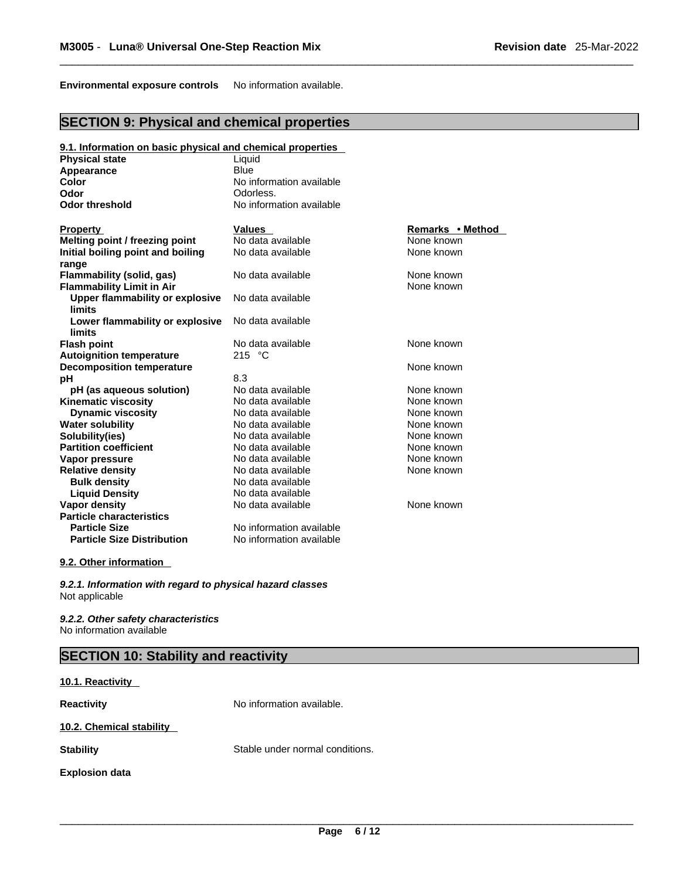**Environmental exposure controls** No information available.

## **SECTION 9: Physical and chemical properties**

| 9.1. Information on basic physical and chemical properties |                          |                  |
|------------------------------------------------------------|--------------------------|------------------|
| <b>Physical state</b>                                      | Liquid                   |                  |
| <b>Appearance</b>                                          | <b>Blue</b>              |                  |
| Color                                                      | No information available |                  |
| Odor                                                       | Odorless.                |                  |
| <b>Odor threshold</b>                                      | No information available |                  |
| <b>Property</b>                                            | <b>Values</b>            | Remarks • Method |
| Melting point / freezing point                             | No data available        | None known       |
| Initial boiling point and boiling<br>range                 | No data available        | None known       |
| Flammability (solid, gas)                                  | No data available        | None known       |
| <b>Flammability Limit in Air</b>                           |                          | None known       |
| Upper flammability or explosive<br>limits                  | No data available        |                  |
| Lower flammability or explosive<br><b>limits</b>           | No data available        |                  |
| <b>Flash point</b>                                         | No data available        | None known       |
| <b>Autoignition temperature</b>                            | 215 $^{\circ}$ C         |                  |
| <b>Decomposition temperature</b>                           |                          | None known       |
| рH                                                         | 8.3                      |                  |
| pH (as aqueous solution)                                   | No data available        | None known       |
| <b>Kinematic viscosity</b>                                 | No data available        | None known       |
| <b>Dynamic viscosity</b>                                   | No data available        | None known       |
| <b>Water solubility</b>                                    | No data available        | None known       |
| Solubility(ies)                                            | No data available        | None known       |
| <b>Partition coefficient</b>                               | No data available        | None known       |
| Vapor pressure                                             | No data available        | None known       |
| <b>Relative density</b>                                    | No data available        | None known       |
| <b>Bulk density</b>                                        | No data available        |                  |
| <b>Liquid Density</b>                                      | No data available        |                  |
| Vapor density                                              | No data available        | None known       |
| <b>Particle characteristics</b>                            |                          |                  |
| <b>Particle Size</b>                                       | No information available |                  |
| <b>Particle Size Distribution</b>                          | No information available |                  |

## **9.2. Other information**

*9.2.1. Information with regard to physical hazard classes* Not applicable

*9.2.2. Other safety characteristics* No information available

# **SECTION 10: Stability and reactivity**

# **10.1. Reactivity Reactivity No information available. 10.2. Chemical stability Stability** Stable under normal conditions.

**Explosion data**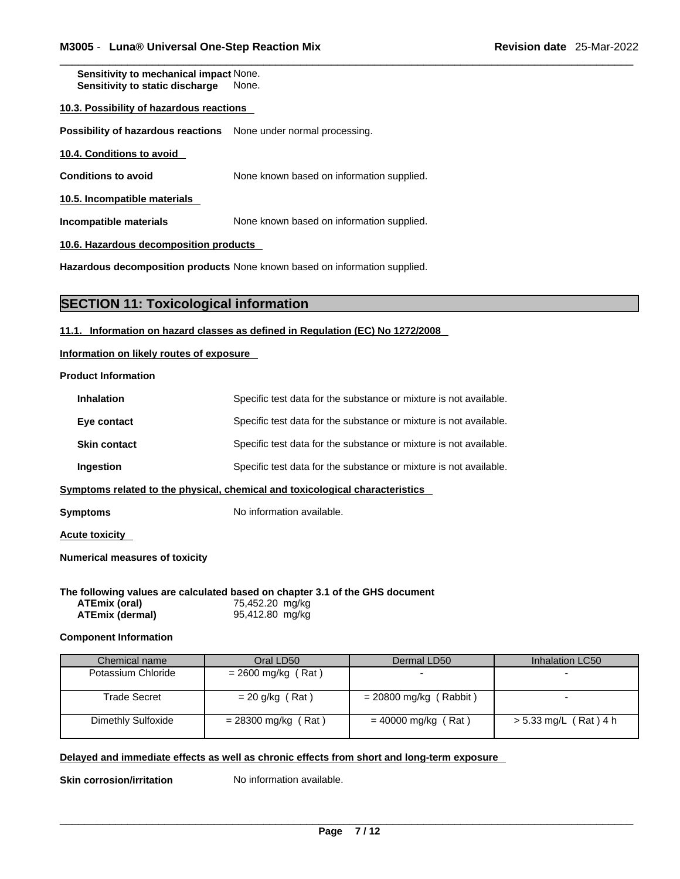**Sensitivity to mechanical impact** None. **Sensitivity to static discharge** None.

#### **10.3. Possibility of hazardous reactions**

**Possibility of hazardous reactions** None under normal processing.

| 10.4. Conditions to avoid |
|---------------------------|
|---------------------------|

**Conditions to avoid** None known based on information supplied.

**10.5. Incompatible materials**

**Incompatible materials** None known based on information supplied.

**10.6. Hazardous decomposition products** 

**Hazardous decomposition products** None known based on information supplied.

## **SECTION 11: Toxicological information**

#### **11.1. Information on hazard classes as defined in Regulation (EC) No 1272/2008**

**Information on likely routes of exposure**

**Product Information**

| <b>Inhalation</b>              | Specific test data for the substance or mixture is not available.            |
|--------------------------------|------------------------------------------------------------------------------|
| Eye contact                    | Specific test data for the substance or mixture is not available.            |
| <b>Skin contact</b>            | Specific test data for the substance or mixture is not available.            |
| Ingestion                      | Specific test data for the substance or mixture is not available.            |
|                                | Symptoms related to the physical, chemical and toxicological characteristics |
| Symptoms                       | No information available.                                                    |
| <b>Acute toxicity</b>          |                                                                              |
| Numerical measures of toxicity |                                                                              |

**The following values are calculated based on chapter 3.1 of the GHS document**

| ATEmix (oral)          | 75,452.20 mg/kg |
|------------------------|-----------------|
| <b>ATEmix (dermal)</b> | 95,412.80 mg/kg |

#### **Component Information**

| Chemical name             | Oral LD50             | Dermal LD50              | Inhalation LC50       |
|---------------------------|-----------------------|--------------------------|-----------------------|
| Potassium Chloride        | $= 2600$ mg/kg (Rat)  |                          |                       |
| Trade Secret              | $= 20$ g/kg (Rat)     | $= 20800$ mg/kg (Rabbit) |                       |
| <b>Dimethly Sulfoxide</b> | $= 28300$ mg/kg (Rat) | $= 40000$ mg/kg (Rat)    | > 5.33 mg/L (Rat) 4 h |

## **Delayed and immediate effects as well as chronic effects from short and long-term exposure**

**Skin corrosion/irritation** No information available.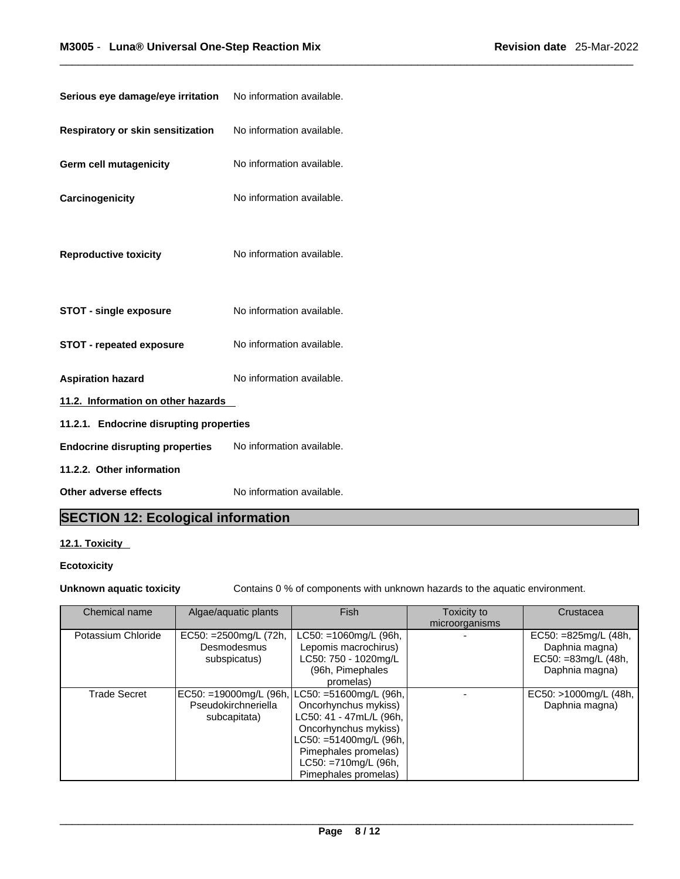| Serious eye damage/eye irritation       | No information available. |
|-----------------------------------------|---------------------------|
| Respiratory or skin sensitization       | No information available. |
| <b>Germ cell mutagenicity</b>           | No information available. |
| Carcinogenicity                         | No information available. |
| <b>Reproductive toxicity</b>            | No information available. |
| <b>STOT - single exposure</b>           | No information available. |
| <b>STOT - repeated exposure</b>         | No information available. |
| <b>Aspiration hazard</b>                | No information available. |
| 11.2. Information on other hazards      |                           |
| 11.2.1. Endocrine disrupting properties |                           |
| <b>Endocrine disrupting properties</b>  | No information available. |
| 11.2.2. Other information               |                           |
| Other adverse effects                   | No information available. |

# **SECTION 12: Ecological information**

## **12.1. Toxicity**

## **Ecotoxicity**

**Unknown aquatic toxicity** Contains 0 % of components with unknown hazards to the aquatic environment.

| Chemical name       | Algae/aquatic plants   | Fish                      | Toxicity to    | Crustacea             |
|---------------------|------------------------|---------------------------|----------------|-----------------------|
|                     |                        |                           | microorganisms |                       |
| Potassium Chloride  | EC50: = 2500mg/L (72h, | $LC50: = 1060$ mg/L (96h, |                | EC50: $=825mg/L(48h,$ |
|                     | Desmodesmus            | Lepomis macrochirus)      |                | Daphnia magna)        |
|                     | subspicatus)           | LC50: 750 - 1020mg/L      |                | EC50: =83mg/L (48h,   |
|                     |                        | (96h, Pimephales          |                | Daphnia magna)        |
|                     |                        | promelas)                 |                |                       |
| <b>Trade Secret</b> | EC50: =19000mg/L (96h, | , LC50: =51600mg/L (96h,  |                | EC50: >1000mg/L (48h, |
|                     | Pseudokirchneriella    | Oncorhynchus mykiss)      |                | Daphnia magna)        |
|                     | subcapitata)           | LC50: 41 - 47mL/L (96h,   |                |                       |
|                     |                        | Oncorhynchus mykiss)      |                |                       |
|                     |                        | $LC50: = 51400mg/L$ (96h, |                |                       |
|                     |                        | Pimephales promelas)      |                |                       |
|                     |                        | LC50: =710mg/L (96h,      |                |                       |
|                     |                        | Pimephales promelas)      |                |                       |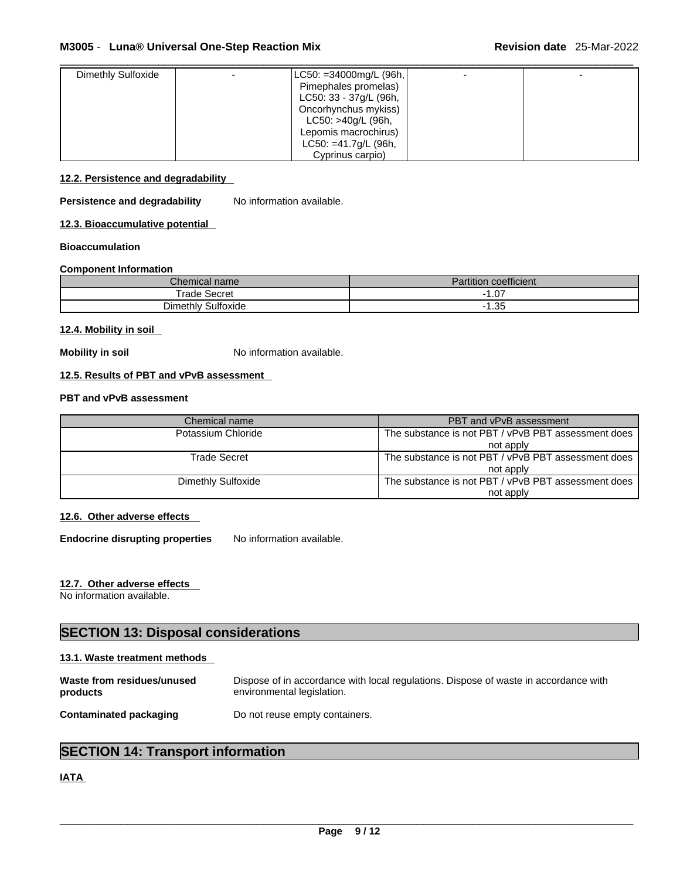| Dimethly Sulfoxide | LC50: =34000mg/L (96h,  |  |
|--------------------|-------------------------|--|
|                    | Pimephales promelas)    |  |
|                    | LC50: 33 - 37g/L (96h,  |  |
|                    | Oncorhynchus mykiss)    |  |
|                    | LC50: >40g/L (96h,      |  |
|                    | Lepomis macrochirus)    |  |
|                    | $LC50: = 41.7g/L$ (96h, |  |
|                    | Cyprinus carpio)        |  |

#### **12.2. Persistence and degradability**

**Persistence and degradability** No information available.

**12.3. Bioaccumulative potential**

#### **Bioaccumulation**

#### **Component Information**

| <i>L</i> hemical name | coefficient<br>Partition |
|-----------------------|--------------------------|
| $T$ rade<br>Secret    | $\sim$<br>. v            |
| Dimethly Sulfoxide    | $\sim$<br>טט.ו           |

#### **12.4. Mobility in soil**

**Mobility in soil** No information available.

## **12.5. Results of PBT and vPvB assessment**

## **PBT and vPvB assessment**

| Chemical name      | PBT and vPvB assessment                             |  |
|--------------------|-----------------------------------------------------|--|
| Potassium Chloride | The substance is not PBT / vPvB PBT assessment does |  |
|                    | not apply                                           |  |
| Trade Secret       | The substance is not PBT / vPvB PBT assessment does |  |
|                    | not apply                                           |  |
| Dimethly Sulfoxide | The substance is not PBT / vPvB PBT assessment does |  |
|                    | not apply                                           |  |

## **12.6. Other adverse effects**

**Endocrine disrupting properties** No information available.

## **12.7. Other adverse effects**

No information available.

# **SECTION 13: Disposal considerations**

#### **13.1. Waste treatment methods**

| Waste from residues/unused    | Dispose of in accordance with local regulations. Dispose of waste in accordance with |
|-------------------------------|--------------------------------------------------------------------------------------|
| products                      | environmental legislation.                                                           |
| <b>Contaminated packaging</b> | Do not reuse empty containers.                                                       |

# **SECTION 14: Transport information**

## **IATA**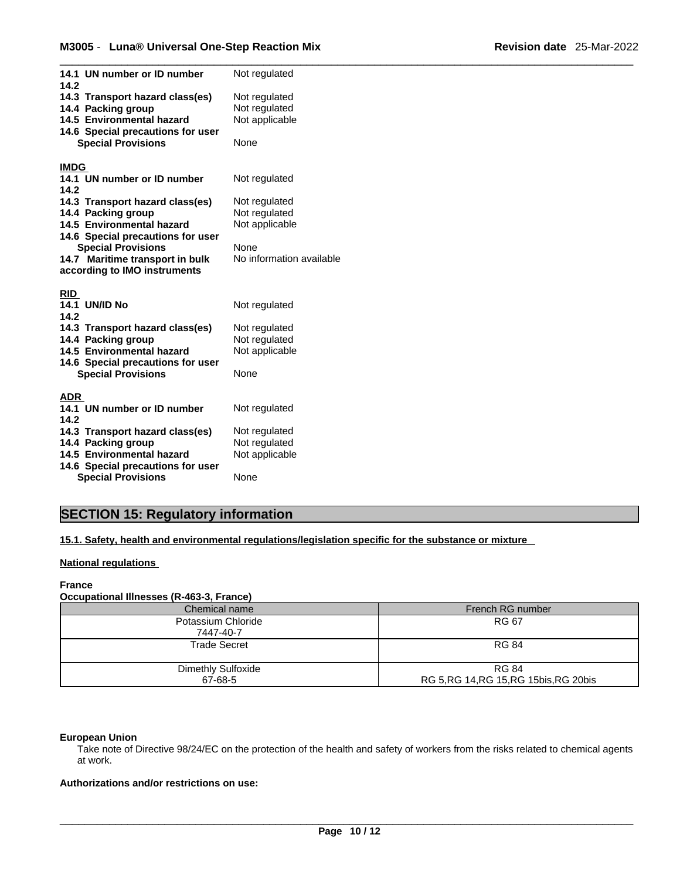| 14.1 UN number or ID number<br>14.2                            | Not regulated            |
|----------------------------------------------------------------|--------------------------|
| 14.3 Transport hazard class(es)                                | Not regulated            |
| 14.4 Packing group                                             | Not regulated            |
| 14.5 Environmental hazard                                      | Not applicable           |
| 14.6 Special precautions for user                              |                          |
| <b>Special Provisions</b>                                      | None                     |
|                                                                |                          |
| <b>IMDG</b>                                                    |                          |
| 14.1 UN number or ID number                                    | Not regulated            |
| 14.2                                                           |                          |
| 14.3 Transport hazard class(es)                                | Not regulated            |
| 14.4 Packing group                                             | Not regulated            |
| 14.5 Environmental hazard                                      | Not applicable           |
| 14.6 Special precautions for user                              |                          |
| <b>Special Provisions</b>                                      | None                     |
| 14.7 Maritime transport in bulk                                | No information available |
| according to IMO instruments                                   |                          |
|                                                                |                          |
| <b>RID</b>                                                     |                          |
| <b>14.1 UN/ID No</b>                                           | Not regulated            |
| 14.2                                                           |                          |
| 14.3 Transport hazard class(es)                                | Not regulated            |
|                                                                |                          |
| 14.4 Packing group                                             | Not regulated            |
| 14.5 Environmental hazard                                      | Not applicable           |
| 14.6 Special precautions for user                              |                          |
| <b>Special Provisions</b>                                      | None                     |
|                                                                |                          |
| ADR                                                            |                          |
| 14.1 UN number or ID number                                    | Not regulated            |
| 14.2                                                           |                          |
| 14.3 Transport hazard class(es)                                | Not regulated            |
| 14.4 Packing group                                             | Not regulated            |
| 14.5 Environmental hazard                                      | Not applicable           |
| 14.6 Special precautions for user<br><b>Special Provisions</b> | None                     |

# **SECTION 15: Regulatory information**

**15.1. Safety, health and environmental regulations/legislation specific for the substance or mixture**

#### **National regulations**

#### **France**

## **Occupational Illnesses (R-463-3, France)** Chemical name French RG number Potassium Chloride 7447-40-7

| <b>Trade Secret</b> | <b>RG 84</b>                             |
|---------------------|------------------------------------------|
| Dimethly Sulfoxide  | <b>RG 84</b>                             |
| 67-68-5             | RG 5, RG 14, RG 15, RG 15 bis, RG 20 bis |

RG 67

#### **European Union**

Take note of Directive 98/24/EC on the protection of the health and safety of workers from the risks related to chemical agents at work.

## **Authorizations and/or restrictions on use:**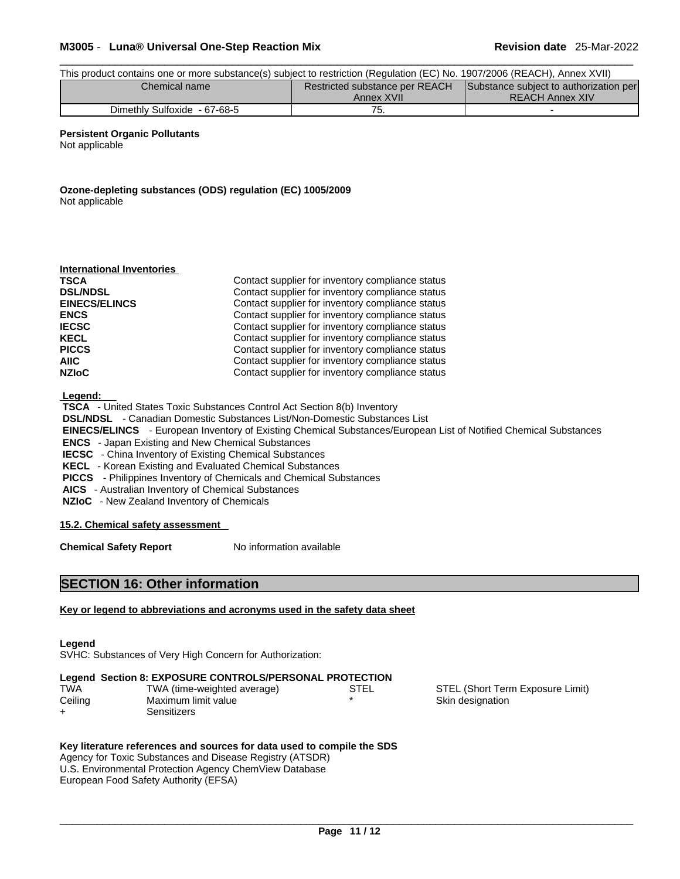## \_\_\_\_\_\_\_\_\_\_\_\_\_\_\_\_\_\_\_\_\_\_\_\_\_\_\_\_\_\_\_\_\_\_\_\_\_\_\_\_\_\_\_\_\_\_\_\_\_\_\_\_\_\_\_\_\_\_\_\_\_\_\_\_\_\_\_\_\_\_\_\_\_\_\_\_\_\_\_\_\_\_\_\_\_\_\_\_\_\_\_\_\_ **M3005** - **Luna® Universal One-Step Reaction Mix Revision date** 25-Mar-2022

| This product contains one or more substance(s) subject to restriction (Regulation (EC) No. 1907/2006 (REACH), Annex XVII) |            |                        |  |  |
|---------------------------------------------------------------------------------------------------------------------------|------------|------------------------|--|--|
| Restricted substance per REACH<br>Substance subject to authorization per<br>Chemical name                                 |            |                        |  |  |
|                                                                                                                           | Annex XVII | <b>REACH Annex XIV</b> |  |  |
| Dimethly Sulfoxide - 67-68-5                                                                                              | '5.        |                        |  |  |

#### **Persistent Organic Pollutants**

Not applicable

**Ozone-depleting substances (ODS) regulation (EC) 1005/2009** Not applicable

| Contact supplier for inventory compliance status |  |
|--------------------------------------------------|--|
| Contact supplier for inventory compliance status |  |
| Contact supplier for inventory compliance status |  |
| Contact supplier for inventory compliance status |  |
| Contact supplier for inventory compliance status |  |
| Contact supplier for inventory compliance status |  |
| Contact supplier for inventory compliance status |  |
| Contact supplier for inventory compliance status |  |
| Contact supplier for inventory compliance status |  |
|                                                  |  |

 **Legend:** 

 **TSCA** - United States Toxic Substances Control Act Section 8(b) Inventory  **DSL/NDSL** - Canadian Domestic Substances List/Non-Domestic Substances List  **EINECS/ELINCS** - European Inventory of Existing Chemical Substances/European List of Notified Chemical Substances  **ENCS** - Japan Existing and New Chemical Substances  **IECSC** - China Inventory of Existing Chemical Substances  **KECL** - Korean Existing and Evaluated Chemical Substances  **PICCS** - Philippines Inventory of Chemicals and Chemical Substances  **AICS** - Australian Inventory of Chemical Substances  **NZIoC** - New Zealand Inventory of Chemicals

#### **15.2. Chemical safety assessment**

**Chemical Safety Report** No information available

## **SECTION 16: Other information**

#### **Key or legend to abbreviations and acronyms used in the safety data sheet**

#### **Legend**

SVHC: Substances of Very High Concern for Authorization:

## **Legend Section 8: EXPOSURE CONTROLS/PERSONAL PROTECTION**

| TWA     | TWA (time-weighted average) | STEL |
|---------|-----------------------------|------|
| Ceiling | Maximum limit value         |      |
| ┷       | Sensitizers                 |      |

STEL (Short Term Exposure Limit) Skin designation

## **Key literature references and sources for data used to compile the SDS**

Agency for Toxic Substances and Disease Registry (ATSDR) U.S. Environmental Protection Agency ChemView Database European Food Safety Authority (EFSA)